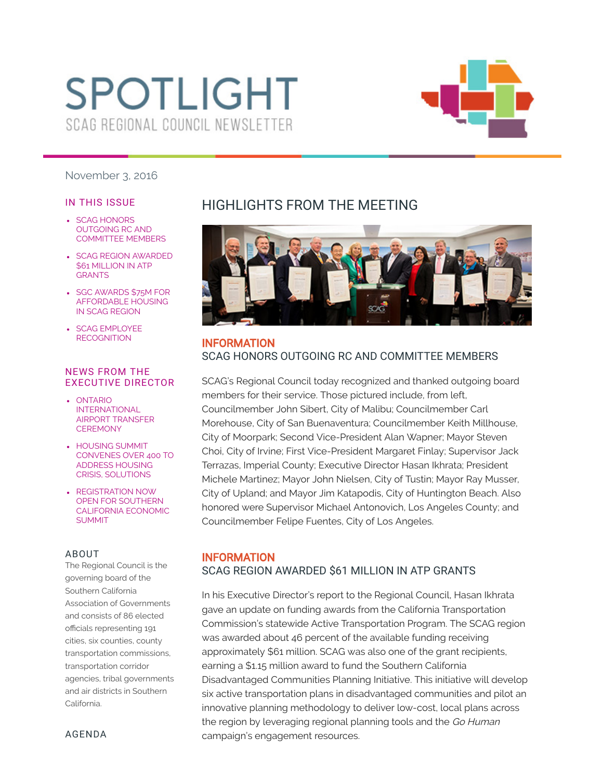# **SPOTLIGHT** SCAG REGIONAL COUNCIL NEWSLETTER



#### November 3, 2016

#### IN THIS ISSUE

- **SCAG HONORS** OUTGOING RC AND [COMMITTEE](#page-0-0) MEMBERS
- SCAG REGION [AWARDED](#page-0-1) \$61 MILLION IN ATP **GRANTS**
- SGC AWARDS \$75M FOR [AFFORDABLE](#page-1-0) HOUSING IN SCAG REGION
- SCAG EMPLOYEE **[RECOGNITION](#page-1-1)**

#### NEWS FROM THE EXECUTIVE DIRECTOR

- ONTARIO [INTERNATIONAL](#page-2-0) AIRPORT TRANSFER **CEREMONY**
- **.** HOUSING SUMMIT CONVENES OVER 400 TO ADDRESS HOUSING CRISIS, [SOLUTIONS](#page-2-1)
- [REGISTRATION](#page-2-2) NOW OPEN FOR SOUTHERN CALIFORNIA ECONOMIC SUMMIT

#### ABOUT

The Regional Council is the governing board of the Southern California Association of Governments and consists of 86 elected officials representing 191 cities, six counties, county transportation commissions, transportation corridor agencies, tribal governments and air districts in Southern California.

# HIGHLIGHTS FROM THE MEETING

<span id="page-0-0"></span>

# INFORMATION SCAG HONORS OUTGOING RC AND COMMITTEE MEMBERS

SCAG's Regional Council today recognized and thanked outgoing board members for their service. Those pictured include, from left, Councilmember John Sibert, City of Malibu; Councilmember Carl Morehouse, City of San Buenaventura; Councilmember Keith Millhouse, City of Moorpark; Second Vice-President Alan Wapner; Mayor Steven Choi, City of Irvine; First Vice-President Margaret Finlay; Supervisor Jack Terrazas, Imperial County; Executive Director Hasan Ikhrata; President Michele Martinez; Mayor John Nielsen, City of Tustin; Mayor Ray Musser, City of Upland; and Mayor Jim Katapodis, City of Huntington Beach. Also honored were Supervisor Michael Antonovich, Los Angeles County; and Councilmember Felipe Fuentes, City of Los Angeles.

## <span id="page-0-1"></span>INFORMATION SCAG REGION AWARDED \$61 MILLION IN ATP GRANTS

In his Executive Director's report to the Regional Council, Hasan Ikhrata gave an update on funding awards from the California Transportation Commission's statewide Active Transportation Program. The SCAG region was awarded about 46 percent of the available funding receiving approximately \$61 million. SCAG was also one of the grant recipients, earning a \$1.15 million award to fund the Southern California Disadvantaged Communities Planning Initiative. This initiative will develop six active transportation plans in disadvantaged communities and pilot an innovative planning methodology to deliver low-cost, local plans across the region by leveraging regional planning tools and the Go Human campaign's engagement resources.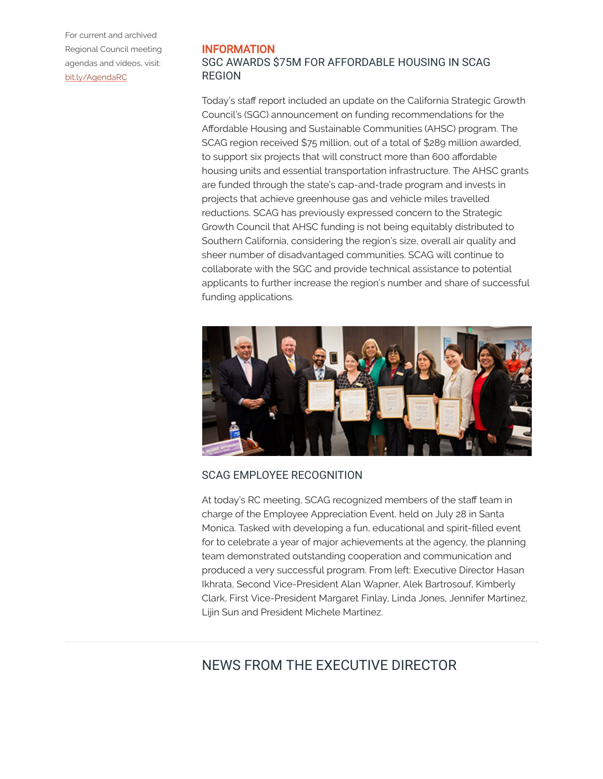For current and archived Regional Council meeting agendas and videos, visit: [bit.ly/AgendaRC](http://scag.ca.gov/committees/Pages/CommitteeL2/Granicus.aspx?CID=1)

#### <span id="page-1-0"></span>INFORMATION SGC AWARDS \$75M FOR AFFORDABLE HOUSING IN SCAG REGION

Today's staff report included an update on the California Strategic Growth Council's (SGC) announcement on funding recommendations for the Affordable Housing and Sustainable Communities (AHSC) program. The SCAG region received \$75 million, out of a total of \$289 million awarded, to support six projects that will construct more than 600 affordable housing units and essential transportation infrastructure. The AHSC grants are funded through the state's cap-and-trade program and invests in projects that achieve greenhouse gas and vehicle miles travelled reductions. SCAG has previously expressed concern to the Strategic Growth Council that AHSC funding is not being equitably distributed to Southern California, considering the region's size, overall air quality and sheer number of disadvantaged communities. SCAG will continue to collaborate with the SGC and provide technical assistance to potential applicants to further increase the region's number and share of successful funding applications.

<span id="page-1-1"></span>

## SCAG EMPLOYEE RECOGNITION

At today's RC meeting, SCAG recognized members of the staff team in charge of the Employee Appreciation Event, held on July 28 in Santa Monica. Tasked with developing a fun, educational and spirit-filled event for to celebrate a year of major achievements at the agency, the planning team demonstrated outstanding cooperation and communication and produced a very successful program. From left: Executive Director Hasan Ikhrata, Second Vice-President Alan Wapner, Alek Bartrosouf, Kimberly Clark, First Vice-President Margaret Finlay, Linda Jones, Jennifer Martinez, Lijin Sun and President Michele Martinez.

# NEWS FROM THE EXECUTIVE DIRECTOR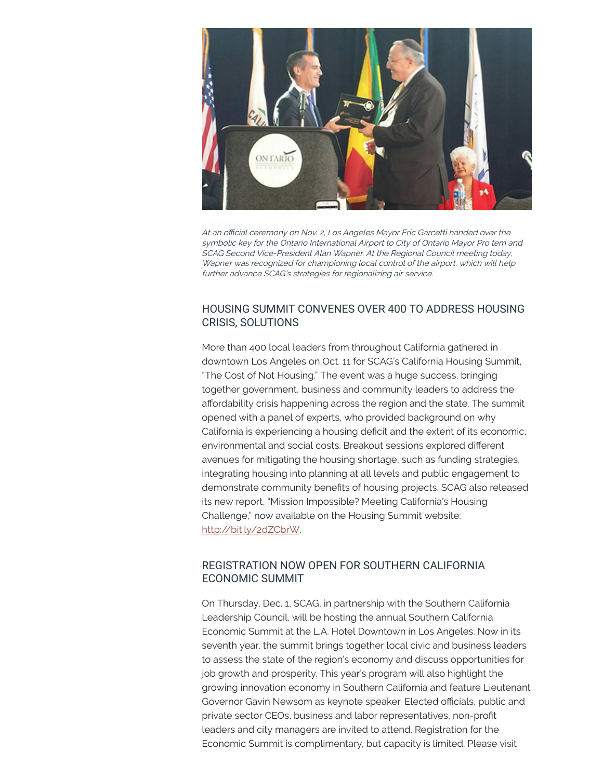<span id="page-2-0"></span>

At an official ceremony on Nov. 2, Los Angeles Mayor Eric Garcetti handed over the symbolic key for the Ontario International Airport to City of Ontario Mayor Pro tem and SCAG Second Vice-President Alan Wapner. At the Regional Council meeting today, Wapner was recognized for championing local control of the airport, which will help further advance SCAG's strategies for regionalizing air service.

## <span id="page-2-1"></span>HOUSING SUMMIT CONVENES OVER 400 TO ADDRESS HOUSING CRISIS, SOLUTIONS

More than 400 local leaders from throughout California gathered in downtown Los Angeles on Oct. 11 for SCAG's California Housing Summit, "The Cost of Not Housing." The event was a huge success, bringing together government, business and community leaders to address the affordability crisis happening across the region and the state. The summit opened with a panel of experts, who provided background on why California is experiencing a housing deficit and the extent of its economic, environmental and social costs. Breakout sessions explored different avenues for mitigating the housing shortage, such as funding strategies, integrating housing into planning at all levels and public engagement to demonstrate community benefits of housing projects. SCAG also released its new report, "Mission Impossible? Meeting California's Housing Challenge," now available on the Housing Summit website: [http://bit.ly/2dZCbrW.](http://bit.ly/2dZCbrW)

## <span id="page-2-2"></span>REGISTRATION NOW OPEN FOR SOUTHERN CALIFORNIA ECONOMIC SUMMIT

On Thursday, Dec. 1, SCAG, in partnership with the Southern California Leadership Council, will be hosting the annual Southern California Economic Summit at the L.A. Hotel Downtown in Los Angeles. Now in its seventh year, the summit brings together local civic and business leaders to assess the state of the region's economy and discuss opportunities for job growth and prosperity. This year's program will also highlight the growing innovation economy in Southern California and feature Lieutenant Governor Gavin Newsom as keynote speaker. Elected officials, public and private sector CEOs, business and labor representatives, non-profit leaders and city managers are invited to attend. Registration for the Economic Summit is complimentary, but capacity is limited. Please visit